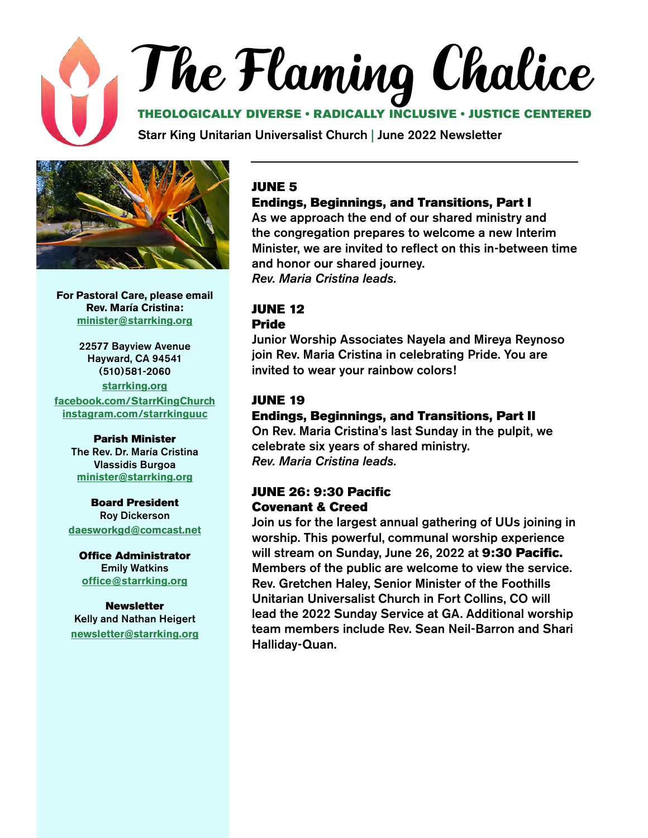## The Flaming Chalice

#### THEOLOGICALLY DIVERSE • RADICALLY INCLUSIVE • JUSTICE CENTERED

Starr King Unitarian Universalist Church | June 2022 Newsletter



**For Pastoral Care, please email Rev. María Cristina: [minister@starrking.org](mailto:minister%40starrking.org?subject=)**

22577 Bayview Avenue Hayward, CA 94541 (510)581-2060 **[starrking.org](http://starrking.org) [facebook.com/StarrKingChurch](http://facebook.com/StarrKingChurch) [instagram.com/starrkinguuc](https://www.instagram.com/starrkinguuc )**

#### Parish Minister

The Rev. Dr. María Cristina Vlassidis Burgoa **[minister@starrking.org](mailto:minister@starrking.org)**

#### Board President Roy Dickerson

**[daesworkgd@comcast.net](mailto:daesworkgd%40comcast.net?subject=)**

Office Administrator Emily Watkins **[office@starrking.org](mailto:office%40starrking.org?subject=)**

Newsletter Kelly and Nathan Heigert **[newsletter@starrking.org](mailto:newsletter%40starrking.org?subject=)**

#### JUNE 5

#### Endings, Beginnings, and Transitions, Part I

As we approach the end of our shared ministry and the congregation prepares to welcome a new Interim Minister, we are invited to reflect on this in-between time and honor our shared journey. *Rev. Maria Cristina leads.*

#### JUNE 12 Pride

Junior Worship Associates Nayela and Mireya Reynoso join Rev. Maria Cristina in celebrating Pride. You are invited to wear your rainbow colors!

#### JUNE 19

#### Endings, Beginnings, and Transitions, Part II

On Rev. Maria Cristina's last Sunday in the pulpit, we celebrate six years of shared ministry. *Rev. Maria Cristina leads.*

#### JUNE 26: 9:30 Pacific Covenant & Creed

Join us for the largest annual gathering of UUs joining in worship. This powerful, communal worship experience will stream on Sunday, June 26, 2022 at 9:30 Pacific. Members of the public are welcome to view the service. Rev. Gretchen Haley, Senior Minister of the Foothills Unitarian Universalist Church in Fort Collins, CO will lead the 2022 Sunday Service at GA. Additional worship team members include Rev. Sean Neil-Barron and Shari Halliday-Quan.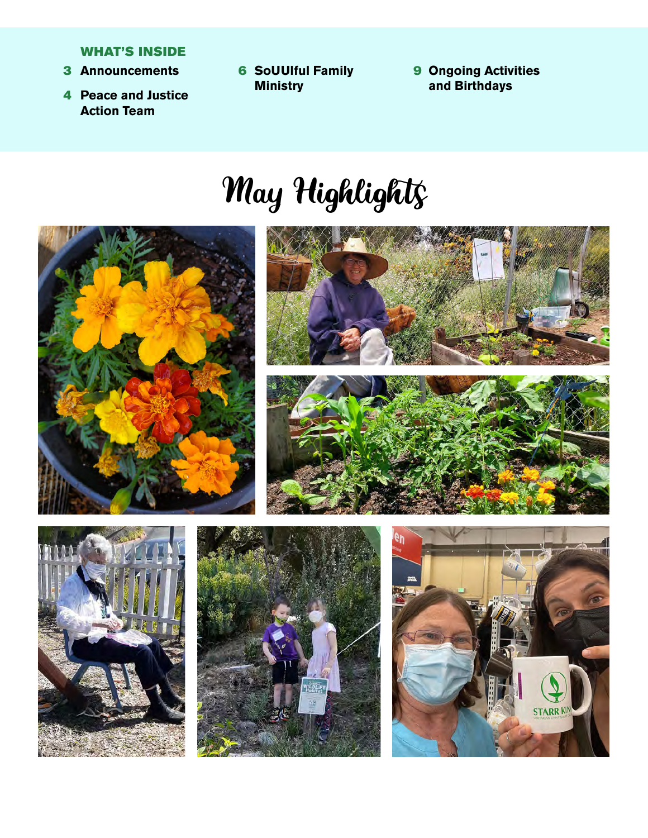#### WHAT'S INSIDE

- **3 Announcements**
- 4 **Peace and Justice Action Team**
- 6 **Announcements** 9 **SoUUlful Family Ministry**
- **Ongoing Activities and Birthdays**

## May Highlights

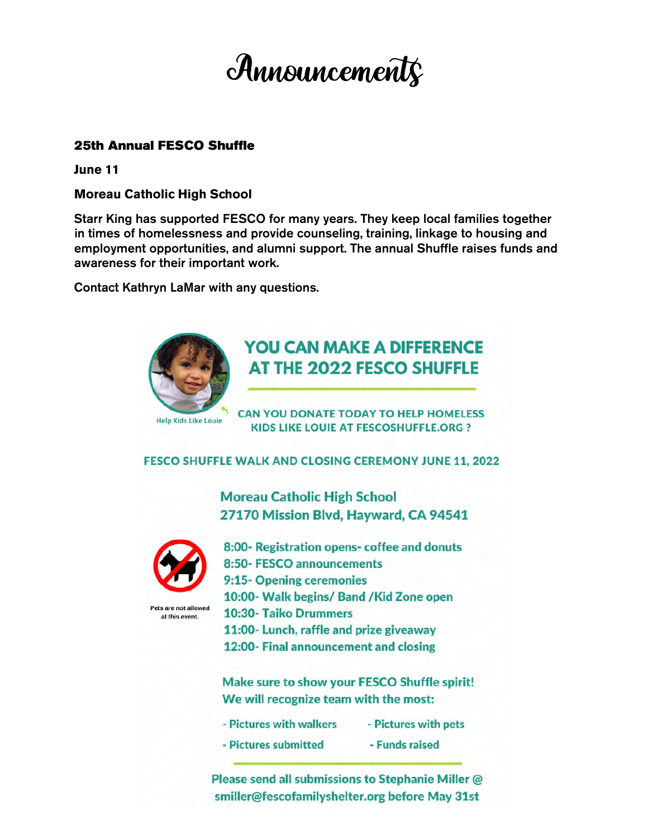

#### 25th Annual FESCO Shuffle

**June 11**

**Moreau Catholic High School**

Starr King has supported FESCO for many years. They keep local families together in times of homelessness and provide counseling, training, linkage to housing and employment opportunities, and alumni support. The annual Shuffle raises funds and awareness for their important work.

Contact Kathryn LaMar with any questions.



#### **YOU CAN MAKE A DIFFERENCE** AT THE 2022 FESCO SHUFFLE

**CAN YOU DONATE TODAY TO HELP HOMELESS KIDS LIKE LOUIE AT FESCOSHUFFLE.ORG ?** 

FESCO SHUFFLE WALK AND CLOSING CEREMONY JUNE 11, 2022

**Moreau Catholic High School** 27170 Mission Blvd, Hayward, CA 94541



Pets are not allowed at this event.

8:00- Registration opens- coffee and donuts 8:50- FESCO announcements 9:15-Opening ceremonies 10:00- Walk begins/ Band / Kid Zone open 10:30- Taiko Drummers 11:00- Lunch, raffle and prize giveaway 12:00- Final announcement and closing

Make sure to show your FESCO Shuffle spirit! We will recognize team with the most:

- Pictures with walkers - Pictures with pets
- Pictures submitted - Funds raised

Please send all submissions to Stephanie Miller @ smiller@fescofamilyshelter.org before May 31st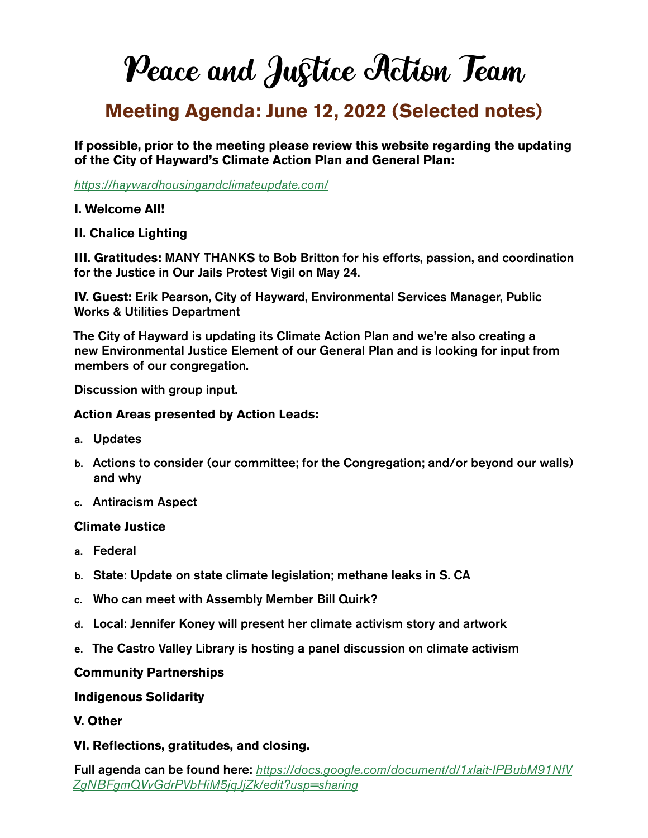## Peace and Justice Action Team

#### **Meeting Agenda: June 12, 2022 (Selected notes)**

**If possible, prior to the meeting please review this website regarding the updating of the City of Hayward's Climate Action Plan and General Plan:** 

*<https://haywardhousingandclimateupdate.com/>*

#### **I. Welcome All!**

#### **II. Chalice Lighting**

**III. Gratitudes:** MANY THANKS to Bob Britton for his efforts, passion, and coordination for the Justice in Our Jails Protest Vigil on May 24.

**IV. Guest:** Erik Pearson, City of Hayward, Environmental Services Manager, Public Works & Utilities Department

The City of Hayward is updating its Climate Action Plan and we're also creating a new Environmental Justice Element of our General Plan and is looking for input from members of our congregation.

Discussion with group input.

#### **Action Areas presented by Action Leads:**

- a. Updates
- b. Actions to consider (our committee; for the Congregation; and/or beyond our walls) and why
- c. Antiracism Aspect

#### **Climate Justice**

- a. Federal
- b. State: Update on state climate legislation; methane leaks in S. CA
- c. Who can meet with Assembly Member Bill Quirk?
- d. Local: Jennifer Koney will present her climate activism story and artwork
- e. The Castro Valley Library is hosting a panel discussion on climate activism

#### **Community Partnerships**

#### **Indigenous Solidarity**

**V. Other**

#### **VI. Reflections, gratitudes, and closing.**

Full agenda can be found here: *[https://docs.google.com/document/d/1xlait-lPBubM91NfV](https://docs.google.com/document/d/1xlait-lPBubM91NfVZgNBFgmQVvGdrPVbHiM5jqJjZk/edit?usp=sharing) [ZgNBFgmQVvGdrPVbHiM5jqJjZk/edit?usp=sharing](https://docs.google.com/document/d/1xlait-lPBubM91NfVZgNBFgmQVvGdrPVbHiM5jqJjZk/edit?usp=sharing)*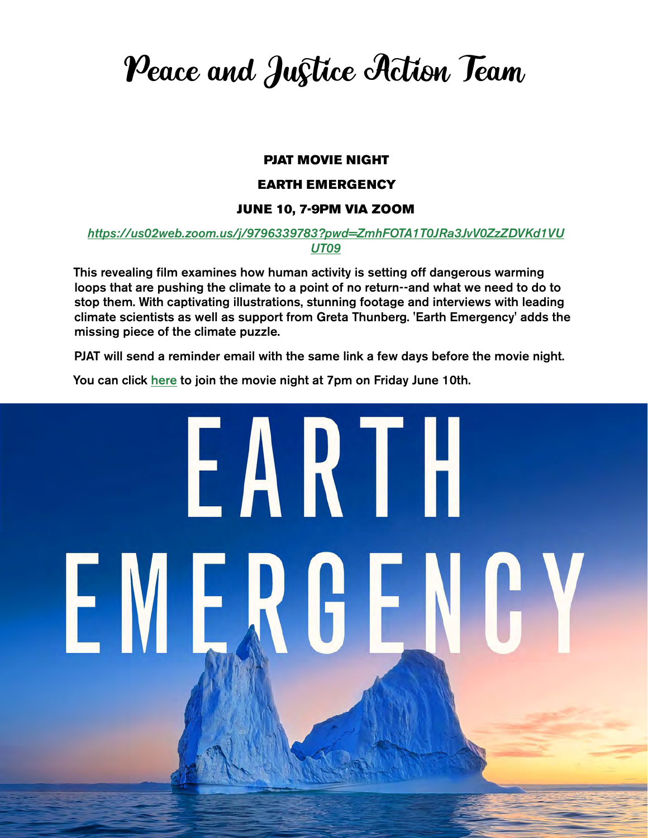Peace and Justice Action Team

#### PJAT MOVIE NIGHT

#### EARTH EMERGENCY

#### JUNE 10, 7-9PM VIA ZOOM

#### *[https://us02web.zoom.us/j/9796339783?pwd=ZmhFOTA1T0JRa3JvV0ZzZDVKd1VU](https://us02web.zoom.us/j/9796339783?pwd=ZmhFOTA1T0JRa3JvV0ZzZDVKd1VUUT09) [UT09](https://us02web.zoom.us/j/9796339783?pwd=ZmhFOTA1T0JRa3JvV0ZzZDVKd1VUUT09)*

This revealing film examines how human activity is setting off dangerous warming loops that are pushing the climate to a point of no return--and what we need to do to stop them. With captivating illustrations, stunning footage and interviews with leading climate scientists as well as support from Greta Thunberg. 'Earth Emergency' adds the missing piece of the climate puzzle.

PJAT will send a reminder email with the same link a few days before the movie night.

You can click [here](https://us02web.zoom.us/j/9796339783?pwd=ZmhFOTA1T0JRa3JvV0ZzZDVKd1VUUT09) to join the movie night at 7pm on Friday June 10th.

# EARTH EMERGE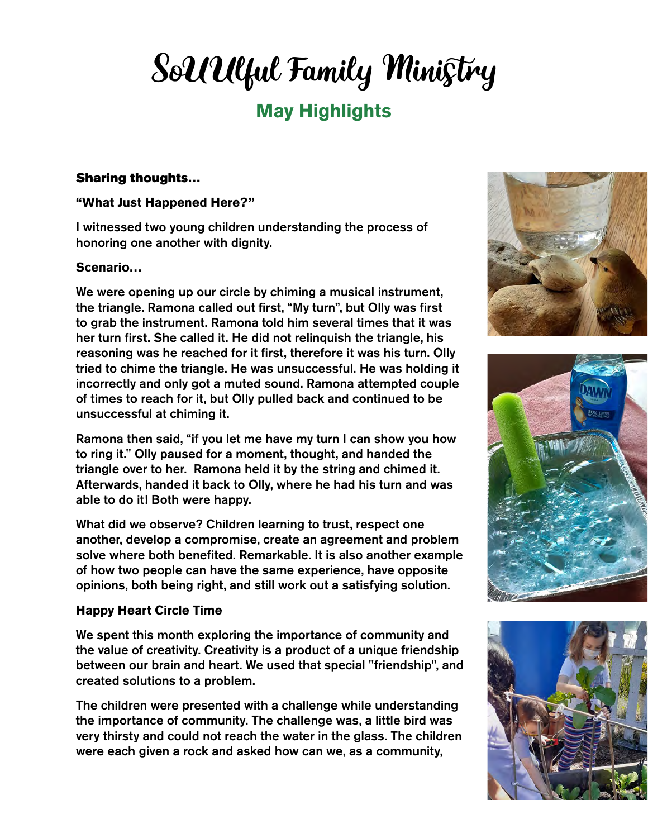## SoUUlful Family Ministry

#### **May Highlights**

#### Sharing thoughts…

#### **"What Just Happened Here?"**

I witnessed two young children understanding the process of honoring one another with dignity.

#### **Scenario…**

We were opening up our circle by chiming a musical instrument, the triangle. Ramona called out first, "My turn", but Olly was first to grab the instrument. Ramona told him several times that it was her turn first. She called it. He did not relinquish the triangle, his reasoning was he reached for it first, therefore it was his turn. Olly tried to chime the triangle. He was unsuccessful. He was holding it incorrectly and only got a muted sound. Ramona attempted couple of times to reach for it, but Olly pulled back and continued to be unsuccessful at chiming it.

Ramona then said, "if you let me have my turn I can show you how to ring it." Olly paused for a moment, thought, and handed the triangle over to her. Ramona held it by the string and chimed it. Afterwards, handed it back to Olly, where he had his turn and was able to do it! Both were happy.

What did we observe? Children learning to trust, respect one another, develop a compromise, create an agreement and problem solve where both benefited. Remarkable. It is also another example of how two people can have the same experience, have opposite opinions, both being right, and still work out a satisfying solution.

#### **Happy Heart Circle Time**

We spent this month exploring the importance of community and the value of creativity. Creativity is a product of a unique friendship between our brain and heart. We used that special "friendship", and created solutions to a problem.

The children were presented with a challenge while understanding the importance of community. The challenge was, a little bird was very thirsty and could not reach the water in the glass. The children were each given a rock and asked how can we, as a community,





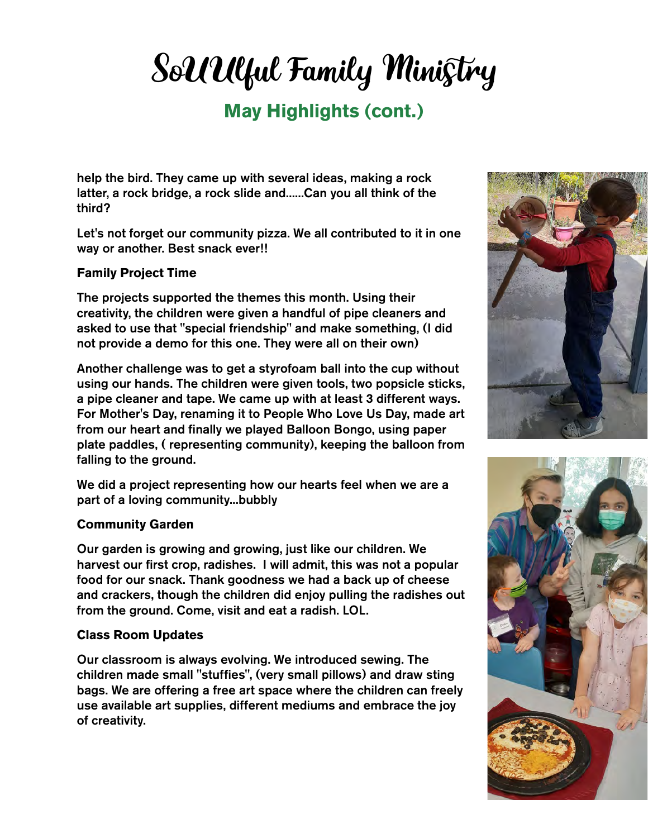## SoUUlful Family Ministry

#### **May Highlights (cont.)**

help the bird. They came up with several ideas, making a rock latter, a rock bridge, a rock slide and......Can you all think of the third?

Let's not forget our community pizza. We all contributed to it in one way or another. Best snack ever!!

#### **Family Project Time**

The projects supported the themes this month. Using their creativity, the children were given a handful of pipe cleaners and asked to use that "special friendship" and make something, (I did not provide a demo for this one. They were all on their own)

Another challenge was to get a styrofoam ball into the cup without using our hands. The children were given tools, two popsicle sticks, a pipe cleaner and tape. We came up with at least 3 different ways. For Mother's Day, renaming it to People Who Love Us Day, made art from our heart and finally we played Balloon Bongo, using paper plate paddles, ( representing community), keeping the balloon from falling to the ground.

We did a project representing how our hearts feel when we are a part of a loving community...bubbly

#### **Community Garden**

Our garden is growing and growing, just like our children. We harvest our first crop, radishes. I will admit, this was not a popular food for our snack. Thank goodness we had a back up of cheese and crackers, though the children did enjoy pulling the radishes out from the ground. Come, visit and eat a radish. LOL.

#### **Class Room Updates**

Our classroom is always evolving. We introduced sewing. The children made small "stuffies", (very small pillows) and draw sting bags. We are offering a free art space where the children can freely use available art supplies, different mediums and embrace the joy of creativity.



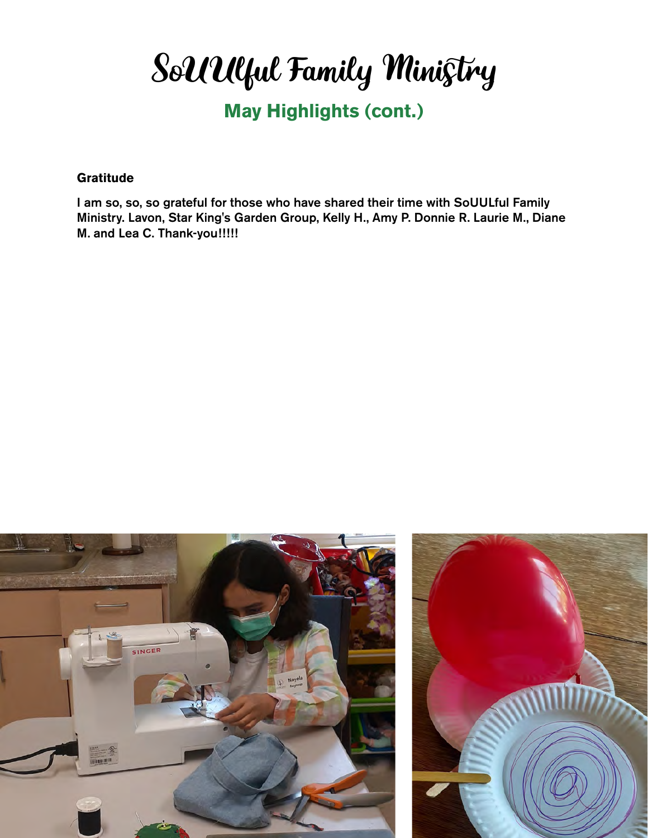SoUUlful Family Ministry

#### **May Highlights (cont.)**

#### **Gratitude**

I am so, so, so grateful for those who have shared their time with SoUULful Family Ministry. Lavon, Star King's Garden Group, Kelly H., Amy P. Donnie R. Laurie M., Diane M. and Lea C. Thank-you!!!!!